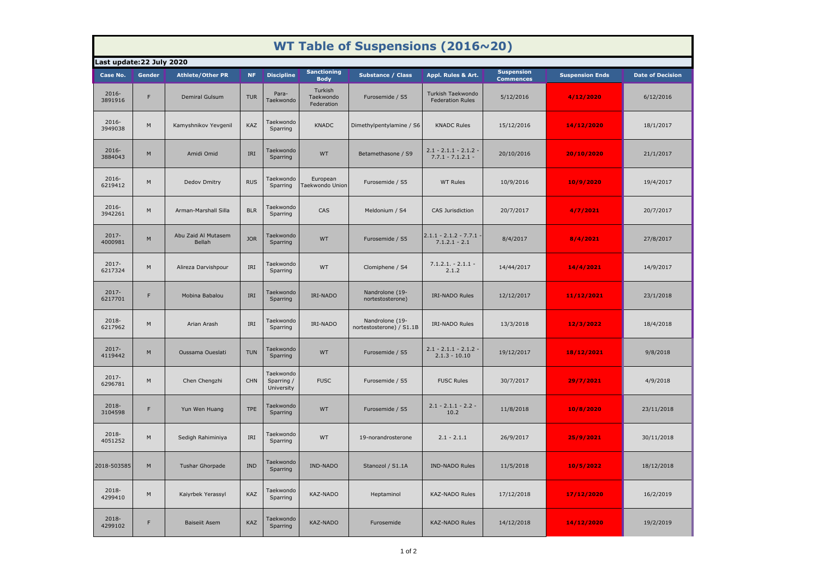| WT Table of Suspensions (2016~20) |        |                               |            |                                       |                                    |                                             |                                                |                                       |                        |                         |  |
|-----------------------------------|--------|-------------------------------|------------|---------------------------------------|------------------------------------|---------------------------------------------|------------------------------------------------|---------------------------------------|------------------------|-------------------------|--|
| Last update:22 July 2020          |        |                               |            |                                       |                                    |                                             |                                                |                                       |                        |                         |  |
| Case No.                          | Gender | <b>Athlete/Other PR</b>       | <b>NF</b>  | <b>Discipline</b>                     | <b>Sanctioning</b><br><b>Body</b>  | <b>Substance / Class</b>                    | Appl. Rules & Art.                             | <b>Suspension</b><br><b>Commences</b> | <b>Suspension Ends</b> | <b>Date of Decision</b> |  |
| $2016 -$<br>3891916               | F      | Demiral Gulsum                | <b>TUR</b> | Para-<br>Taekwondo                    | Turkish<br>Taekwondo<br>Federation | Furosemide / S5                             | Turkish Taekwondo<br><b>Federation Rules</b>   | 5/12/2016                             | 4/12/2020              | 6/12/2016               |  |
| $2016 -$<br>3949038               | M      | Kamyshnikov Yevgenil          | KAZ        | Taekwondo<br>Sparring                 | <b>KNADC</b>                       | Dimethylpentylamine / S6                    | <b>KNADC Rules</b>                             | 15/12/2016                            | 14/12/2020             | 18/1/2017               |  |
| $2016 -$<br>3884043               | M      | Amidi Omid                    | IRI        | Taekwondo<br>Sparring                 | WT                                 | Betamethasone / S9                          | $2.1 - 2.1.1 - 2.1.2 -$<br>$7.7.1 - 7.1.2.1 -$ | 20/10/2016                            | 20/10/2020             | 21/1/2017               |  |
| $2016 -$<br>6219412               | М      | Dedov Dmitry                  | <b>RUS</b> | Taekwondo<br>Sparring                 | European<br>Taekwondo Union        | Furosemide / S5                             | <b>WT Rules</b>                                | 10/9/2016                             | 10/9/2020              | 19/4/2017               |  |
| $2016 -$<br>3942261               | M      | Arman-Marshall Silla          | <b>BLR</b> | Taekwondo<br>Sparring                 | CAS                                | Meldonium / S4                              | CAS Jurisdiction                               | 20/7/2017                             | 4/7/2021               | 20/7/2017               |  |
| $2017 -$<br>4000981               | M      | Abu Zaid Al Mutasem<br>Bellah | <b>JOR</b> | Taekwondo<br>Sparring                 | WT                                 | Furosemide / S5                             | $2.1.1 - 2.1.2 - 7.7.1$<br>$7.1.2.1 - 2.1$     | 8/4/2017                              | 8/4/2021               | 27/8/2017               |  |
| $2017 -$<br>6217324               | M      | Alireza Darvishpour           | IRI        | Taekwondo<br>Sparring                 | WT                                 | Clomiphene / S4                             | $7.1.2.1. - 2.1.1 -$<br>2.1.2                  | 14/44/2017                            | 14/4/2021              | 14/9/2017               |  |
| $2017 -$<br>6217701               | F      | Mobina Babalou                | IRI        | Taekwondo<br>Sparring                 | IRI-NADO                           | Nandrolone (19-<br>nortestosterone)         | <b>IRI-NADO Rules</b>                          | 12/12/2017                            | 11/12/2021             | 23/1/2018               |  |
| 2018-<br>6217962                  | M      | Arian Arash                   | IRI        | Taekwondo<br>Sparring                 | IRI-NADO                           | Nandrolone (19-<br>nortestosterone) / S1.1B | <b>IRI-NADO Rules</b>                          | 13/3/2018                             | 12/3/2022              | 18/4/2018               |  |
| $2017 -$<br>4119442               | M      | Oussama Oueslati              | <b>TUN</b> | Taekwondo<br>Sparring                 | WT                                 | Furosemide / S5                             | $2.1 - 2.1.1 - 2.1.2 -$<br>$2.1.3 - 10.10$     | 19/12/2017                            | 18/12/2021             | 9/8/2018                |  |
| $2017 -$<br>6296781               | М      | Chen Chengzhi                 | <b>CHN</b> | Taekwondo<br>Sparring /<br>University | <b>FUSC</b>                        | Furosemide / S5                             | <b>FUSC Rules</b>                              | 30/7/2017                             | 29/7/2021              | 4/9/2018                |  |
| $2018 -$<br>3104598               | F      | Yun Wen Huang                 | <b>TPE</b> | Taekwondo<br>Sparring                 | WT                                 | Furosemide / S5                             | $2.1 - 2.1.1 - 2.2 -$<br>10.2                  | 11/8/2018                             | 10/8/2020              | 23/11/2018              |  |
| 2018-<br>4051252                  | M      | Sedigh Rahiminiya             | IRI        | Taekwondo<br>Sparring                 | <b>WT</b>                          | 19-norandrosterone                          | $2.1 - 2.1.1$                                  | 26/9/2017                             | 25/9/2021              | 30/11/2018              |  |
| 2018-503585                       | M      | <b>Tushar Ghorpade</b>        | <b>IND</b> | Taekwondo<br>Sparring                 | <b>IND-NADO</b>                    | Stanozol / S1.1A                            | <b>IND-NADO Rules</b>                          | 11/5/2018                             | 10/5/2022              | 18/12/2018              |  |
| 2018-<br>4299410                  | M      | Kaiyrbek Yerassyl             | KAZ        | Taekwondo<br>Sparring                 | KAZ-NADO                           | Heptaminol                                  | KAZ-NADO Rules                                 | 17/12/2018                            | 17/12/2020             | 16/2/2019               |  |
| $2018 -$<br>4299102               | F      | <b>Baiseiit Asem</b>          | KAZ        | Taekwondo<br>Sparring                 | KAZ-NADO                           | Furosemide                                  | KAZ-NADO Rules                                 | 14/12/2018                            | 14/12/2020             | 19/2/2019               |  |